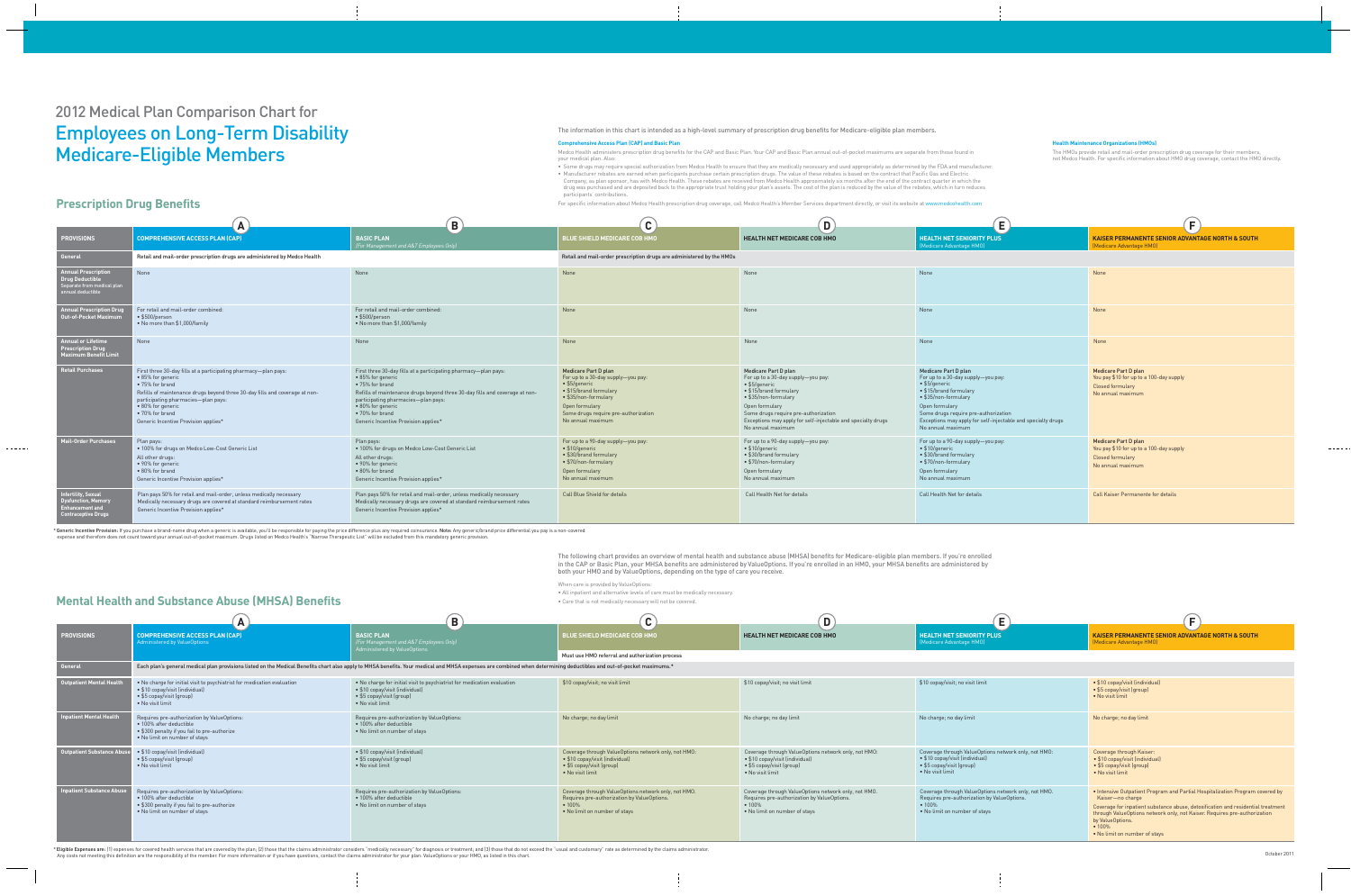## 2012 Medical Plan Comparison Chart for Employees on Long-Term Disability Medicare-Eligible Members

| $\blacksquare$                                                                                                                                                                                                                                                                                                | $\mathbf B$                                                                                                                                                                                                                                                                                                   | $\mathbf{\Omega}$<br>$\mathbf{U}$                                                                                                                                                                                           | D                                                                                                                                                                                                                                                                                    | E.                                                                                                                                                                                                                                                                                          |                                                                                                                        |
|---------------------------------------------------------------------------------------------------------------------------------------------------------------------------------------------------------------------------------------------------------------------------------------------------------------|---------------------------------------------------------------------------------------------------------------------------------------------------------------------------------------------------------------------------------------------------------------------------------------------------------------|-----------------------------------------------------------------------------------------------------------------------------------------------------------------------------------------------------------------------------|--------------------------------------------------------------------------------------------------------------------------------------------------------------------------------------------------------------------------------------------------------------------------------------|---------------------------------------------------------------------------------------------------------------------------------------------------------------------------------------------------------------------------------------------------------------------------------------------|------------------------------------------------------------------------------------------------------------------------|
| <b>COMPREHENSIVE ACCESS PLAN (CAP)</b>                                                                                                                                                                                                                                                                        | <b>BASIC PLAN</b><br>For Management and A&T Employees Only)                                                                                                                                                                                                                                                   | <b>BLUE SHIELD MEDICARE COB HMO</b>                                                                                                                                                                                         | <b>HEALTH NET MEDICARE COB HMO</b>                                                                                                                                                                                                                                                   | <b>HEALTH NET SENIORITY PLUS</b><br>(Medicare Advantage HMO)                                                                                                                                                                                                                                | <b>KAISER PERMANENTE SENIOR ADVAN</b><br>(Medicare Advantage HMO)                                                      |
| Retail and mail-order prescription drugs are administered by Medco Health                                                                                                                                                                                                                                     |                                                                                                                                                                                                                                                                                                               | Retail and mail-order prescription drugs are administered by the HMOs                                                                                                                                                       |                                                                                                                                                                                                                                                                                      |                                                                                                                                                                                                                                                                                             |                                                                                                                        |
| None                                                                                                                                                                                                                                                                                                          | None                                                                                                                                                                                                                                                                                                          | None                                                                                                                                                                                                                        | None                                                                                                                                                                                                                                                                                 | None                                                                                                                                                                                                                                                                                        | None                                                                                                                   |
| For retail and mail-order combined:<br>• \$500/person<br>. No more than \$1,000/family                                                                                                                                                                                                                        | For retail and mail-order combined:<br>$\bullet$ \$500/person<br>• No more than \$1,000/family                                                                                                                                                                                                                | None                                                                                                                                                                                                                        | None                                                                                                                                                                                                                                                                                 | None                                                                                                                                                                                                                                                                                        | None                                                                                                                   |
| <b>None</b>                                                                                                                                                                                                                                                                                                   | None                                                                                                                                                                                                                                                                                                          | None                                                                                                                                                                                                                        | None                                                                                                                                                                                                                                                                                 | None                                                                                                                                                                                                                                                                                        | None                                                                                                                   |
| First three 30-day fills at a participating pharmacy-plan pays:<br>• 85% for generic<br>• 75% for brand<br>Refills of maintenance drugs beyond three 30-day fills and coverage at non-<br>participating pharmacies—plan pays:<br>· 80% for generic<br>• 70% for brand<br>Generic Incentive Provision applies* | First three 30-day fills at a participating pharmacy-plan pays:<br>● 85% for generic<br>• 75% for brand<br>Refills of maintenance drugs beyond three 30-day fills and coverage at non-<br>participating pharmacies-plan pays:<br>· 80% for generic<br>• 70% for brand<br>Generic Incentive Provision applies* | <b>Medicare Part D plan</b><br>For up to a 30-day supply-you pay:<br>$\bullet$ \$5/generic<br>• \$15/brand formulary<br>• \$35/non-formulary<br>Open formulary<br>Some drugs require pre-authorization<br>No annual maximum | Medicare Part D plan<br>For up to a 30-day supply-you pay:<br>$\bullet$ \$5/qeneric<br>• \$15/brand formulary<br>• \$35/non-formulary<br>Open formulary<br>Some drugs require pre-authorization<br>Exceptions may apply for self-injectable and specialty drugs<br>No annual maximum | <b>Medicare Part D plan</b><br>For up to a 30-day supply-you pay:<br>$\bullet$ \$5/generic<br>• \$15/brand formulary<br>• \$35/non-formulary<br>Open formulary<br>Some drugs require pre-authorization<br>Exceptions may apply for self-injectable and specialty drugs<br>No annual maximum | <b>Medicare Part D plan</b><br>You pay \$10 for up to a 100-day supply<br><b>Closed formulary</b><br>No annual maximum |
| Plan pays:<br>. 100% for drugs on Medco Low-Cost Generic List<br>All other drugs:<br>• 90% for generic<br>• 80% for brand<br>Generic Incentive Provision applies*                                                                                                                                             | Plan pays:<br>. 100% for drugs on Medco Low-Cost Generic List<br>All other drugs:<br>• 90% for generic<br>• 80% for brand<br>Generic Incentive Provision applies*                                                                                                                                             | For up to a 90-day supply-you pay:<br>$\bullet$ \$10/generic<br>• \$30/brand formulary<br>• \$70/non-formulary<br>Open formulary<br>No annual maximum                                                                       | For up to a 90-day supply-you pay:<br>$•$ \$10/generic<br>• \$30/brand formulary<br>• \$70/non-formulary<br>Open formulary<br>No annual maximum                                                                                                                                      | For up to a 90-day supply-you pay:<br>$\bullet$ \$10/generic<br>• \$30/brand formulary<br>• \$70/non-formulary<br>Open formulary<br>No annual maximum                                                                                                                                       | <b>Medicare Part D plan</b><br>You pay \$10 for up to a 100-day supply<br>Closed formulary<br>No annual maximum        |
| Plan pays 50% for retail and mail-order, unless medically necessary<br>Medically necessary drugs are covered at standard reimbursement rates<br>Generic Incentive Provision applies*                                                                                                                          | Plan pays 50% for retail and mail-order, unless medically necessary<br>Medically necessary drugs are covered at standard reimbursement rates<br>Generic Incentive Provision applies*                                                                                                                          | <b>Call Blue Shield for details</b>                                                                                                                                                                                         | Call Health Net for details                                                                                                                                                                                                                                                          | Call Health Net for details                                                                                                                                                                                                                                                                 | <b>Call Kaiser Permanente for details</b>                                                                              |

The information in this chart is intended as a high-level summary of prescription drug benefits for Medicare-eligible plan members.

#### **Comprehensive Access Plan (CAP) and Basic Plan**

Medco Health administers prescription drug benefits for the CAP and Basic Plan. Your CAP and Basic Plan annual out-of-pocket maximums are separate from those found in your medical plan. Also:

| None                                                                                                                                                                                                                                                                                | <b>None</b>                                                                                                            |
|-------------------------------------------------------------------------------------------------------------------------------------------------------------------------------------------------------------------------------------------------------------------------------------|------------------------------------------------------------------------------------------------------------------------|
| None                                                                                                                                                                                                                                                                                | None                                                                                                                   |
| None                                                                                                                                                                                                                                                                                | None                                                                                                                   |
| <b>Medicare Part D plan</b><br>For up to a 30-day supply-you pay:<br>• \$5/generic<br>• \$15/brand formulary<br>• \$35/non-formulary<br>Open formulary<br>Some drugs require pre-authorization<br>Exceptions may apply for self-injectable and specialty drugs<br>No annual maximum | <b>Medicare Part D plan</b><br>You pay \$10 for up to a 100-day supply<br><b>Closed formulary</b><br>No annual maximum |
| For up to a 90-day supply-you pay:<br>• \$10/generic<br>• \$30/brand formulary<br>• \$70/non-formulary<br>Open formulary<br>No annual maximum                                                                                                                                       | <b>Medicare Part D plan</b><br>You pay \$10 for up to a 100-day supply<br><b>Closed formulary</b><br>No annual maximum |
| Call Health Net for details                                                                                                                                                                                                                                                         | <b>Call Kaiser Permanente for details</b>                                                                              |

• Some drugs may require special authorization from Medco Health to ensure that they are medically necessary and used appropriately as determined by the FDA and manufacturer. • Manufacturer rebates are earned when participants purchase certain prescription drugs. The value of these rebates is based on the contract that Pacific Gas and Electric Company, as plan sponsor, has with Medco Health. These rebates are received from Medco Health approximately six months after the end of the contract quarter in which the drug was purchased and are deposited back to the appropriate trust holding your plan's assets. The cost of the plan is reduced by the value of the rebates, which in turn reduces participants' contributions.

For specific information about Medco Health prescription drug coverage, call Medco Health's Member Services department directly, or visit its website at www.medcohealth

The following chart provides an overview of mental health and substance abuse (MHSA) benefits for Medicare-eligible plan members. If you're enrolled in the CAP or Basic Plan, your MHSA benefits are administered by ValueOptions. If you're enrolled in an HMO, your MHSA benefits are administered by both your HMO and by ValueOptions, depending on the type of care you receive.

When care is provided by ValueOptions:

- All inpatient and alternative levels of care must be medically necessary.
- Care that is not medically necessary will not be covered.

|                                                                                                                  | A                                                                                                                                                                                                                                                                                                             | B                                                                                                                                                                                                                                                                                                             | C                                                                                                                                                                                                                     |                                                                                                       |
|------------------------------------------------------------------------------------------------------------------|---------------------------------------------------------------------------------------------------------------------------------------------------------------------------------------------------------------------------------------------------------------------------------------------------------------|---------------------------------------------------------------------------------------------------------------------------------------------------------------------------------------------------------------------------------------------------------------------------------------------------------------|-----------------------------------------------------------------------------------------------------------------------------------------------------------------------------------------------------------------------|-------------------------------------------------------------------------------------------------------|
| <b>PROVISIONS</b>                                                                                                | <b>COMPREHENSIVE ACCESS PLAN (CAP)</b>                                                                                                                                                                                                                                                                        | <b>BASIC PLAN</b><br>(For Management and A&T Employees Only)                                                                                                                                                                                                                                                  | <b>BLUE SHIELD MEDICARE COB HMO</b>                                                                                                                                                                                   | <b>HEAL</b>                                                                                           |
| <b>General</b>                                                                                                   | Retail and mail-order prescription drugs are administered by Medco Health                                                                                                                                                                                                                                     |                                                                                                                                                                                                                                                                                                               | Retail and mail-order prescription drugs are administered by the HMOs                                                                                                                                                 |                                                                                                       |
| <b>Annual Prescription</b><br><b>Drug Deductible</b><br>Separate from medical plan<br>annual deductible          | None                                                                                                                                                                                                                                                                                                          | None                                                                                                                                                                                                                                                                                                          | None                                                                                                                                                                                                                  | None                                                                                                  |
| <b>Annual Prescription Drug</b><br><b>Out-of-Pocket Maximum</b>                                                  | For retail and mail-order combined:<br>• \$500/person<br>• No more than \$1,000/family                                                                                                                                                                                                                        | For retail and mail-order combined:<br>• \$500/person<br>• No more than \$1,000/family                                                                                                                                                                                                                        | None                                                                                                                                                                                                                  | None                                                                                                  |
| <b>Annual or Lifetime</b><br><b>Prescription Drug</b><br><b>Maximum Benefit Limit</b>                            | None                                                                                                                                                                                                                                                                                                          | None                                                                                                                                                                                                                                                                                                          | None                                                                                                                                                                                                                  | None                                                                                                  |
| <b>Retail Purchases</b>                                                                                          | First three 30-day fills at a participating pharmacy-plan pays:<br>• 85% for generic<br>• 75% for brand<br>Refills of maintenance drugs beyond three 30-day fills and coverage at non-<br>participating pharmacies-plan pays:<br>• 80% for generic<br>• 70% for brand<br>Generic Incentive Provision applies* | First three 30-day fills at a participating pharmacy-plan pays:<br>· 85% for generic<br>• 75% for brand<br>Refills of maintenance drugs beyond three 30-day fills and coverage at non-<br>participating pharmacies-plan pays:<br>• 80% for generic<br>• 70% for brand<br>Generic Incentive Provision applies* | <b>Medicare Part D plan</b><br>For up to a 30-day supply-you pay:<br>$• $5/$ generic<br>• \$15/brand formulary<br>• \$35/non-formulary<br>Open formulary<br>Some drugs require pre-authorization<br>No annual maximum | Medic<br>For up<br>$\bullet$ \$5/ $\frac{1}{2}$<br>• \$15<br>• \$35<br>Open<br>Some<br>Excep<br>No an |
| <b>Mail-Order Purchases</b>                                                                                      | Plan pays:<br>. 100% for drugs on Medco Low-Cost Generic List<br>All other drugs:<br>• 90% for generic<br>• 80% for brand<br>Generic Incentive Provision applies*                                                                                                                                             | Plan pays:<br>. 100% for drugs on Medco Low-Cost Generic List<br>All other drugs:<br>• 90% for generic<br>• 80% for brand<br>Generic Incentive Provision applies*                                                                                                                                             | For up to a 90-day supply-you pay:<br>$\bullet$ \$10/generic<br>• \$30/brand formulary<br>• \$70/non-formulary<br>Open formulary<br>No annual maximum                                                                 | For up<br>• \$10<br>• \$30<br>• \$70<br>Open<br>No an                                                 |
| <b>Infertility, Sexual</b><br><b>Dysfunction, Memory</b><br><b>Enhancement and</b><br><b>Contraceptive Drugs</b> | Plan pays 50% for retail and mail-order, unless medically necessary<br>Medically necessary drugs are covered at standard reimbursement rates<br>Generic Incentive Provision applies*                                                                                                                          | Plan pays 50% for retail and mail-order, unless medically necessary<br>Medically necessary drugs are covered at standard reimbursement rates<br>Generic Incentive Provision applies*                                                                                                                          | Call Blue Shield for details                                                                                                                                                                                          | Call <b>H</b>                                                                                         |

\* Generic Incentive Provision: If you purchase a brand-name drug when a generic is available, you'll be responsible for paying the price difference plus any required coinsurance. Note: Any generic/brand price differential expense and therefore does not count toward your annual out-of-pocket maximum. Drugs listed on Medco Health's "Narrow Therapeutic List" will be excluded from this mandatory generic provision.

### **Prescription Drug Benefits**

| <b>ORITY PLUS</b><br>(CMH: | <b>KAISER PERMANENTE SENIOR ADVANTAGE NORTH &amp; SOUTH</b><br>(Medicare Advantage HMO) |  |  |  |
|----------------------------|-----------------------------------------------------------------------------------------|--|--|--|
|                            |                                                                                         |  |  |  |

|                                   | A                                                                                                                                                                                                                   | B                                                                                                                                                           | C                                                                                                                                              |                                                     |
|-----------------------------------|---------------------------------------------------------------------------------------------------------------------------------------------------------------------------------------------------------------------|-------------------------------------------------------------------------------------------------------------------------------------------------------------|------------------------------------------------------------------------------------------------------------------------------------------------|-----------------------------------------------------|
| <b>PROVISIONS</b>                 | <b>COMPREHENSIVE ACCESS PLAN (CAP)</b><br>Administered by ValueOptions                                                                                                                                              | <b>BASIC PLAN</b><br>(For Management and A&T Employees Only)<br>Administered by ValueOptions                                                                | <b>BLUE SHIELD MEDICARE COB HMO</b>                                                                                                            | <b>HEAL</b>                                         |
|                                   |                                                                                                                                                                                                                     |                                                                                                                                                             | Must use HMO referral and authorization process                                                                                                |                                                     |
| General                           | Each plan's general medical plan provisions listed on the Medical Benefits chart also apply to MHSA benefits. Your medical and MHSA expenses are combined when determining deductibles and out-of-pocket maximums.* |                                                                                                                                                             |                                                                                                                                                |                                                     |
| <b>Outpatient Mental Health</b>   | . No charge for initial visit to psychiatrist for medication evaluation<br>• \$10 copay/visit (individual)<br>• \$5 copay/visit (group)<br>• No visit limit                                                         | . No charge for initial visit to psychiatrist for medication evaluation<br>• \$10 copay/visit (individual)<br>• \$5 copay/visit (group)<br>• No visit limit | \$10 copay/visit; no visit limit                                                                                                               | \$10 <sub>c</sub>                                   |
| <b>Inpatient Mental Health</b>    | Requires pre-authorization by ValueOptions:<br>• 100% after deductible<br>• \$300 penalty if you fail to pre-authorize<br>. No limit on number of stays                                                             | Requires pre-authorization by ValueOptions:<br>• 100% after deductible<br>• No limit on number of stays                                                     | No charge; no day limit                                                                                                                        | No ch                                               |
| <b>Outpatient Substance Abuse</b> | • \$10 copay/visit (individual)<br>• \$5 copay/visit (group)<br>• No visit limit                                                                                                                                    | • \$10 copay/visit (individual)<br>• \$5 copay/visit (group)<br>• No visit limit                                                                            | Coverage through ValueOptions network only, not HMO:<br>• \$10 copay/visit (individual)<br>• \$5 copay/visit (group)<br>• No visit limit       | Cover<br>• \$10<br>• \$5c<br>$\bullet$ No           |
| <b>Inpatient Substance Abuse</b>  | Requires pre-authorization by ValueOptions:<br>• 100% after deductible<br>• \$300 penalty if you fail to pre-authorize<br>. No limit on number of stays                                                             | Requires pre-authorization by ValueOptions:<br>• 100% after deductible<br>. No limit on number of stays                                                     | Coverage through ValueOptions network only, not HMO.<br>Requires pre-authorization by ValueOptions.<br>• 100%<br>. No limit on number of stays | Cover<br>Requi<br>$• 100^{\circ}$<br>$\bullet$ No l |

\* Eligible Expenses are: (1) expenses for covered health services that are covered by the plan; (2) those that the claims administrator considers "medically necessary" for diagnosis or treatment; and (3) those that do not Any costs not meeting this definition are the responsibility of the member. For more information or if you have questions, contact the claims administrator for your plan: ValueOptions or your HMO, as listed in this chart.

| Е                                                                                                                                              |                                                                                                                                                                                                                                                                                                                                   |
|------------------------------------------------------------------------------------------------------------------------------------------------|-----------------------------------------------------------------------------------------------------------------------------------------------------------------------------------------------------------------------------------------------------------------------------------------------------------------------------------|
| <b>HEALTH NET SENIORITY PLUS</b><br>(Medicare Advantage HMO)                                                                                   | <b>KAISER PERMANENTE SENIOR ADVANTAGE NORTH &amp; SOUTH</b><br>(Medicare Advantage HMO)                                                                                                                                                                                                                                           |
|                                                                                                                                                |                                                                                                                                                                                                                                                                                                                                   |
|                                                                                                                                                |                                                                                                                                                                                                                                                                                                                                   |
| \$10 copay/visit; no visit limit                                                                                                               | • \$10 copay/visit (individual)<br>• \$5 copay/visit (group)<br>• No visit limit                                                                                                                                                                                                                                                  |
| No charge; no day limit                                                                                                                        | No charge; no day limit                                                                                                                                                                                                                                                                                                           |
| Coverage through ValueOptions network only, not HMO:<br>• \$10 copay/visit (individual)<br>• \$5 copay/visit (group)<br>• No visit limit       | Coverage through Kaiser:<br>• \$10 copay/visit (individual)<br>• \$5 copay/visit (group)<br>• No visit limit                                                                                                                                                                                                                      |
| Coverage through ValueOptions network only, not HMO.<br>Requires pre-authorization by ValueOptions.<br>• 100%<br>. No limit on number of stays | • Intensive Outpatient Program and Partial Hospitalization Program covered by<br>Kaiser-no charge<br>Coverage for inpatient substance abuse, detoxification and residential treatment<br>through ValueOptions network only, not Kaiser. Requires pre-authorization<br>by ValueOptions.<br>• 100%<br>. No limit on number of stays |

| <u> Chima Cheinigh Johan Dungung Dill</u>                                                                                                                                                                           |                                                                                                                                                             |                                                                                                                                                |                                                                                                                                                |                                                                                                                                                |                                                                                                                                                                                                                          |
|---------------------------------------------------------------------------------------------------------------------------------------------------------------------------------------------------------------------|-------------------------------------------------------------------------------------------------------------------------------------------------------------|------------------------------------------------------------------------------------------------------------------------------------------------|------------------------------------------------------------------------------------------------------------------------------------------------|------------------------------------------------------------------------------------------------------------------------------------------------|--------------------------------------------------------------------------------------------------------------------------------------------------------------------------------------------------------------------------|
| $\mathbf{A}$                                                                                                                                                                                                        | B                                                                                                                                                           | $\mathbf C$                                                                                                                                    | D <sup>1</sup>                                                                                                                                 | E                                                                                                                                              |                                                                                                                                                                                                                          |
| <b>COMPREHENSIVE ACCESS PLAN (CAP)</b><br><b>Administered by ValueOptions</b>                                                                                                                                       | <b>BASIC PLAN</b><br>For Management and A&T Employees Only)                                                                                                 | <b>BLUE SHIELD MEDICARE COB HMO</b>                                                                                                            | <b>HEALTH NET MEDICARE COB HMO</b>                                                                                                             | HEALTH NET SENIORITY PLUS<br>(Medicare Advantage HMO)                                                                                          | <b>KAISER PERMANENTE SENIOR ADVAN</b><br>(Medicare Advantage HMO)                                                                                                                                                        |
|                                                                                                                                                                                                                     | Administered by ValueOptions                                                                                                                                | Must use HMO referral and authorization process                                                                                                |                                                                                                                                                |                                                                                                                                                |                                                                                                                                                                                                                          |
| Each plan's general medical plan provisions listed on the Medical Benefits chart also apply to MHSA benefits. Your medical and MHSA expenses are combined when determining deductibles and out-of-pocket maximums.* |                                                                                                                                                             |                                                                                                                                                |                                                                                                                                                |                                                                                                                                                |                                                                                                                                                                                                                          |
| . No charge for initial visit to psychiatrist for medication evaluation<br>• \$10 copay/visit (individual)<br>• \$5 copay/visit (group)<br>• No visit limit                                                         | • No charge for initial visit to psychiatrist for medication evaluation<br>• \$10 copay/visit (individual)<br>• \$5 copay/visit (group)<br>• No visit limit | \$10 copay/visit; no visit limit                                                                                                               | \$10 copay/visit; no visit limit                                                                                                               | \$10 copay/visit; no visit limit                                                                                                               | • \$10 copay/visit (individual)<br>• \$5 copay/visit (group)<br>• No visit limit                                                                                                                                         |
| Requires pre-authorization by ValueOptions:<br>· 100% after deductible<br>• \$300 penalty if you fail to pre-authorize<br>. No limit on number of stays                                                             | Requires pre-authorization by ValueOptions:<br>• 100% after deductible<br>• No limit on number of stays                                                     | No charge; no day limit                                                                                                                        | No charge; no day limit                                                                                                                        | No charge; no day limit                                                                                                                        | No charge; no day limit                                                                                                                                                                                                  |
| • \$10 copay/visit (individual)<br>• \$5 copay/visit (group)<br>• No visit limit                                                                                                                                    | • \$10 copay/visit (individual)<br>• \$5 copay/visit (group)<br>• No visit limit                                                                            | Coverage through ValueOptions network only, not HMO:<br>• \$10 copay/visit (individual)<br>• \$5 copay/visit (group)<br>• No visit limit       | Coverage through ValueOptions network only, not HMO:<br>• \$10 copay/visit (individual)<br>• \$5 copay/visit (group)<br>• No visit limit       | Coverage through ValueOptions network only, not HMO:<br>• \$10 copay/visit (individual)<br>• \$5 copay/visit (group)<br>• No visit limit       | Coverage through Kaiser:<br>• \$10 copay/visit (individual)<br>• \$5 copay/visit (group)<br>• No visit limit                                                                                                             |
| Requires pre-authorization by ValueOptions:<br>· 100% after deductible<br>• \$300 penalty if you fail to pre-authorize<br>. No limit on number of stays                                                             | Requires pre-authorization by ValueOptions:<br>• 100% after deductible<br>• No limit on number of stays                                                     | Coverage through ValueOptions network only, not HMO.<br>Requires pre-authorization by ValueOptions.<br>• 100%<br>• No limit on number of stays | Coverage through ValueOptions network only, not HMO.<br>Requires pre-authorization by ValueOptions.<br>• 100%<br>• No limit on number of stays | Coverage through ValueOptions network only, not HMO.<br>Requires pre-authorization by ValueOptions.<br>• 100%<br>• No limit on number of stays | . Intensive Outpatient Program and Partial<br>Kaiser-no charge<br>Coverage for inpatient substance abuse, de<br>through ValueOptions network only, not Ka<br>by ValueOptions.<br>• 100%<br>. No limit on number of stays |

## **Mental Health and Substance Abuse (MHSA) Benefits**

#### **Health Maintenance Organizations (HMOs)**

| :h.com |  |
|--------|--|
|        |  |
|        |  |
|        |  |

The HMOs provide retail and mail-order prescription drug coverage for their members,

not Medco Health. For specific information about HMO drug coverage, contact the HMO directly.